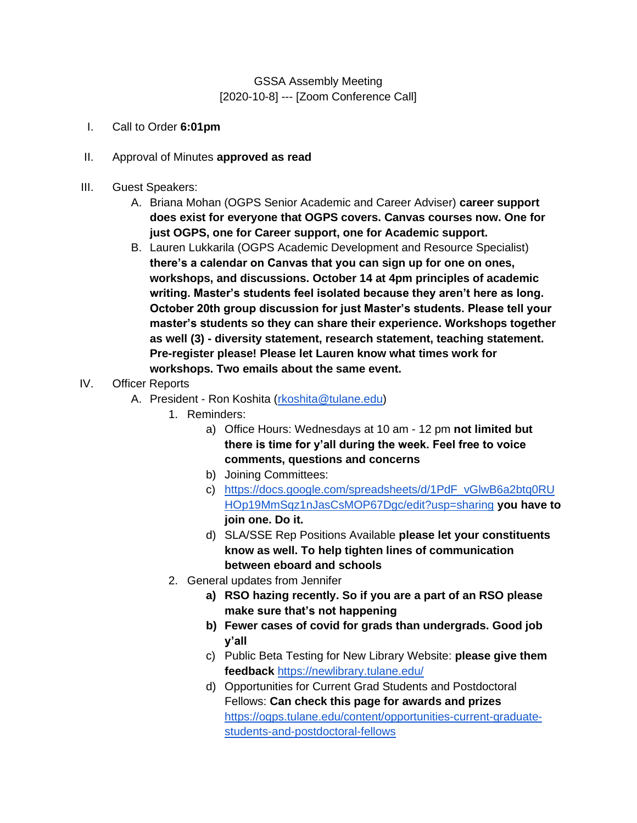## GSSA Assembly Meeting [2020-10-8] --- [Zoom Conference Call]

- I. Call to Order **6:01pm**
- II. Approval of Minutes **approved as read**
- III. Guest Speakers:
	- A. Briana Mohan (OGPS Senior Academic and Career Adviser) **career support does exist for everyone that OGPS covers. Canvas courses now. One for just OGPS, one for Career support, one for Academic support.**
	- B. Lauren Lukkarila (OGPS Academic Development and Resource Specialist) **there's a calendar on Canvas that you can sign up for one on ones, workshops, and discussions. October 14 at 4pm principles of academic writing. Master's students feel isolated because they aren't here as long. October 20th group discussion for just Master's students. Please tell your master's students so they can share their experience. Workshops together as well (3) - diversity statement, research statement, teaching statement. Pre-register please! Please let Lauren know what times work for workshops. Two emails about the same event.**
- IV. Officer Reports
	- A. President Ron Koshita [\(rkoshita@tulane.edu\)](mailto:rkoshita@tulane.edu)
		- 1. Reminders:
			- a) Office Hours: Wednesdays at 10 am 12 pm **not limited but there is time for y'all during the week. Feel free to voice comments, questions and concerns**
			- b) Joining Committees:
			- c) [https://docs.google.com/spreadsheets/d/1PdF\\_vGlwB6a2btq0RU](https://docs.google.com/spreadsheets/d/1PdF_vGlwB6a2btq0RUHOp19MmSqz1nJasCsMOP67Dgc/edit?usp=sharing) [HOp19MmSqz1nJasCsMOP67Dgc/edit?usp=sharing](https://docs.google.com/spreadsheets/d/1PdF_vGlwB6a2btq0RUHOp19MmSqz1nJasCsMOP67Dgc/edit?usp=sharing) **you have to join one. Do it.**
			- d) SLA/SSE Rep Positions Available **please let your constituents know as well. To help tighten lines of communication between eboard and schools**
		- 2. General updates from Jennifer
			- **a) RSO hazing recently. So if you are a part of an RSO please make sure that's not happening**
			- **b) Fewer cases of covid for grads than undergrads. Good job y'all**
			- c) Public Beta Testing for New Library Website: **please give them feedback** <https://newlibrary.tulane.edu/>
			- d) Opportunities for Current Grad Students and Postdoctoral Fellows: **Can check this page for awards and prizes**  [https://ogps.tulane.edu/content/opportunities-current-graduate](https://ogps.tulane.edu/content/opportunities-current-graduate-students-and-postdoctoral-fellows)[students-and-postdoctoral-fellows](https://ogps.tulane.edu/content/opportunities-current-graduate-students-and-postdoctoral-fellows)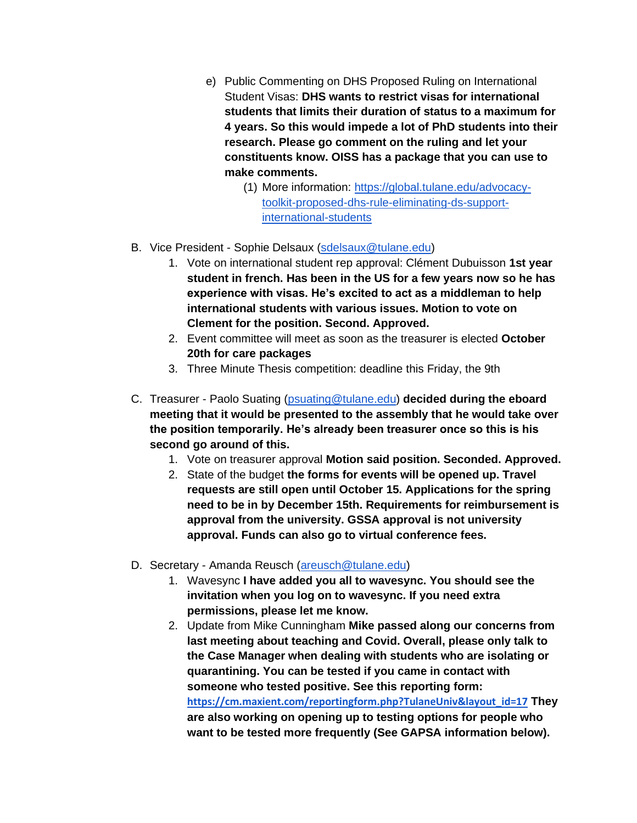- e) Public Commenting on DHS Proposed Ruling on International Student Visas: **DHS wants to restrict visas for international students that limits their duration of status to a maximum for 4 years. So this would impede a lot of PhD students into their research. Please go comment on the ruling and let your constituents know. OISS has a package that you can use to make comments.** 
	- (1) More information: [https://global.tulane.edu/advocacy](https://global.tulane.edu/advocacy-toolkit-proposed-dhs-rule-eliminating-ds-support-international-students)[toolkit-proposed-dhs-rule-eliminating-ds-support](https://global.tulane.edu/advocacy-toolkit-proposed-dhs-rule-eliminating-ds-support-international-students)[international-students](https://global.tulane.edu/advocacy-toolkit-proposed-dhs-rule-eliminating-ds-support-international-students)
- B. Vice President Sophie Delsaux [\(sdelsaux@tulane.edu\)](mailto:sdelsaux@tulane.edu)
	- 1. Vote on international student rep approval: Clément Dubuisson **1st year student in french. Has been in the US for a few years now so he has experience with visas. He's excited to act as a middleman to help international students with various issues. Motion to vote on Clement for the position. Second. Approved.**
	- 2. Event committee will meet as soon as the treasurer is elected **October 20th for care packages**
	- 3. Three Minute Thesis competition: deadline this Friday, the 9th
- C. Treasurer Paolo Suating [\(psuating@tulane.edu\)](mailto:psuating@tulane.edu) **decided during the eboard meeting that it would be presented to the assembly that he would take over the position temporarily. He's already been treasurer once so this is his second go around of this.** 
	- 1. Vote on treasurer approval **Motion said position. Seconded. Approved.**
	- 2. State of the budget **the forms for events will be opened up. Travel requests are still open until October 15. Applications for the spring need to be in by December 15th. Requirements for reimbursement is approval from the university. GSSA approval is not university approval. Funds can also go to virtual conference fees.**
- D. Secretary Amanda Reusch [\(areusch@tulane.edu\)](mailto:areusch@tulane.edu)
	- 1. Wavesync **I have added you all to wavesync. You should see the invitation when you log on to wavesync. If you need extra permissions, please let me know.**
	- 2. Update from Mike Cunningham **Mike passed along our concerns from last meeting about teaching and Covid. Overall, please only talk to the Case Manager when dealing with students who are isolating or quarantining. You can be tested if you came in contact with someone who tested positive. See this reporting form: [https://cm.maxient.com/reportingform.php?TulaneUniv&layout\\_id=17](https://nam03.safelinks.protection.outlook.com/?url=https%3A%2F%2Fcm.maxient.com%2Freportingform.php%3FTulaneUniv%26layout_id%3D17&data=02%7C01%7Careusch%40tulane.edu%7C714d88bdf71a41298bdc08d86956d928%7C9de9818325d94b139fc34de5489c1f3b%7C1%7C0%7C637375169014940730&sdata=UR2yePMJTZubQqkjunBNA7Z8XeKaAuQLTcFktMr74pY%3D&reserved=0) They are also working on opening up to testing options for people who want to be tested more frequently (See GAPSA information below).**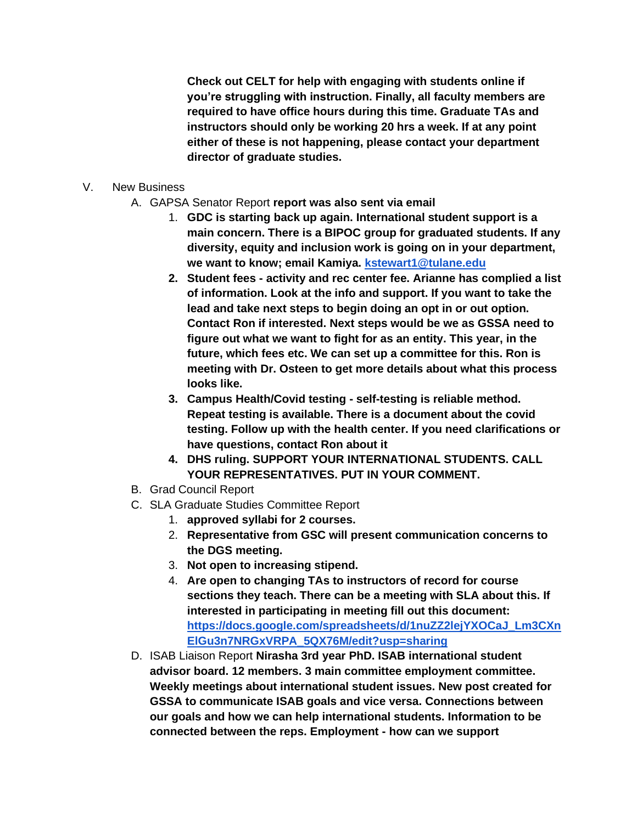**Check out CELT for help with engaging with students online if you're struggling with instruction. Finally, all faculty members are required to have office hours during this time. Graduate TAs and instructors should only be working 20 hrs a week. If at any point either of these is not happening, please contact your department director of graduate studies.**

## V. New Business

- A. GAPSA Senator Report **report was also sent via email**
	- 1. **GDC is starting back up again. International student support is a main concern. There is a BIPOC group for graduated students. If any diversity, equity and inclusion work is going on in your department, we want to know; email Kamiya. [kstewart1@tulane.edu](mailto:kstewart1@tulane.edu)**
	- **2. Student fees - activity and rec center fee. Arianne has complied a list of information. Look at the info and support. If you want to take the lead and take next steps to begin doing an opt in or out option. Contact Ron if interested. Next steps would be we as GSSA need to figure out what we want to fight for as an entity. This year, in the future, which fees etc. We can set up a committee for this. Ron is meeting with Dr. Osteen to get more details about what this process looks like.**
	- **3. Campus Health/Covid testing - self-testing is reliable method. Repeat testing is available. There is a document about the covid testing. Follow up with the health center. If you need clarifications or have questions, contact Ron about it**
	- **4. DHS ruling. SUPPORT YOUR INTERNATIONAL STUDENTS. CALL YOUR REPRESENTATIVES. PUT IN YOUR COMMENT.**
- B. Grad Council Report
- C. SLA Graduate Studies Committee Report
	- 1. **approved syllabi for 2 courses.**
	- 2. **Representative from GSC will present communication concerns to the DGS meeting.**
	- 3. **Not open to increasing stipend.**
	- 4. **Are open to changing TAs to instructors of record for course sections they teach. There can be a meeting with SLA about this. If interested in participating in meeting fill out this document: [https://docs.google.com/spreadsheets/d/1nuZZ2lejYXOCaJ\\_Lm3CXn](https://docs.google.com/spreadsheets/d/1nuZZ2lejYXOCaJ_Lm3CXnElGu3n7NRGxVRPA_5QX76M/edit?usp=sharing) [ElGu3n7NRGxVRPA\\_5QX76M/edit?usp=sharing](https://docs.google.com/spreadsheets/d/1nuZZ2lejYXOCaJ_Lm3CXnElGu3n7NRGxVRPA_5QX76M/edit?usp=sharing)**
- D. ISAB Liaison Report **Nirasha 3rd year PhD. ISAB international student advisor board. 12 members. 3 main committee employment committee. Weekly meetings about international student issues. New post created for GSSA to communicate ISAB goals and vice versa. Connections between our goals and how we can help international students. Information to be connected between the reps. Employment - how can we support**